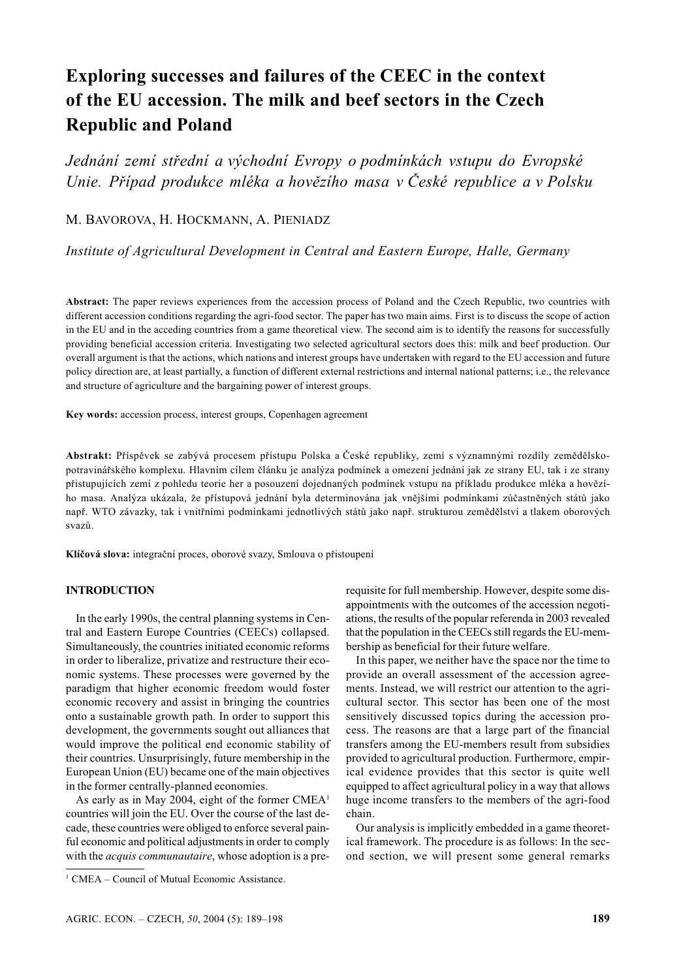# Exploring successes and failures of the CEEC in the context of the EU accession. The milk and beef sectors in the Czech **Republic and Poland**

Jednání zemí střední a východní Evropy o podmínkách vstupu do Evropské Unie. Případ produkce mléka a hovězího masa v České republice a v Polsku

M. BAVOROVA, H. HOCKMANN, A. PIENIADZ

Institute of Agricultural Development in Central and Eastern Europe, Halle, Germany

Abstract: The paper reviews experiences from the accession process of Poland and the Czech Republic, two countries with different accession conditions regarding the agri-food sector. The paper has two main aims. First is to discuss the scope of action in the EU and in the acceding countries from a game theoretical view. The second aim is to identify the reasons for successfully providing beneficial accession criteria. Investigating two selected agricultural sectors does this: milk and beef production. Our overall argument is that the actions, which nations and interest groups have undertaken with regard to the EU accession and future policy direction are, at least partially, a function of different external restrictions and internal national patterns; i.e., the relevance and structure of agriculture and the bargaining power of interest groups.

Key words: accession process, interest groups, Copenhagen agreement

Abstrakt: Příspěvek se zabývá procesem přístupu Polska a České republiky, zemí s významnými rozdíly zemědělskopotravinářského komplexu. Hlavním cílem článku je analýza podmínek a omezení jednání jak ze strany EU, tak i ze strany přistupujících zemí z pohledu teorie her a posouzení dojednaných podmínek vstupu na příkladu produkce mléka a hovězího masa. Analýza ukázala, že přístupová jednání byla determinována jak vnějšími podmínkami zúčastněných států jako např. WTO závazky, tak i vnitřními podmínkami jednotlivých států jako např. strukturou zemědělství a tlakem oborových svazů.

Klíčová slova: integrační proces, oborové svazy, Smlouva o přistoupení

# **INTRODUCTION**

In the early 1990s, the central planning systems in Central and Eastern Europe Countries (CEECs) collapsed. Simultaneously, the countries initiated economic reforms in order to liberalize, privatize and restructure their economic systems. These processes were governed by the paradigm that higher economic freedom would foster economic recovery and assist in bringing the countries onto a sustainable growth path. In order to support this development, the governments sought out alliances that would improve the political end economic stability of their countries. Unsurprisingly, future membership in the European Union (EU) became one of the main objectives in the former centrally-planned economies.

As early as in May 2004, eight of the former CMEA<sup>1</sup> countries will join the EU. Over the course of the last decade, these countries were obliged to enforce several painful economic and political adjustments in order to comply with the *acquis communautaire*, whose adoption is a prerequisite for full membership. However, despite some disappointments with the outcomes of the accession negotiations, the results of the popular referenda in 2003 revealed that the population in the CEECs still regards the EU-membership as beneficial for their future welfare.

In this paper, we neither have the space nor the time to provide an overall assessment of the accession agreements. Instead, we will restrict our attention to the agricultural sector. This sector has been one of the most sensitively discussed topics during the accession process. The reasons are that a large part of the financial transfers among the EU-members result from subsidies provided to agricultural production. Furthermore, empirical evidence provides that this sector is quite well equipped to affect agricultural policy in a way that allows huge income transfers to the members of the agri-food chain.

Our analysis is implicitly embedded in a game theoretical framework. The procedure is as follows: In the second section, we will present some general remarks

<sup>&</sup>lt;sup>1</sup> CMEA – Council of Mutual Economic Assistance.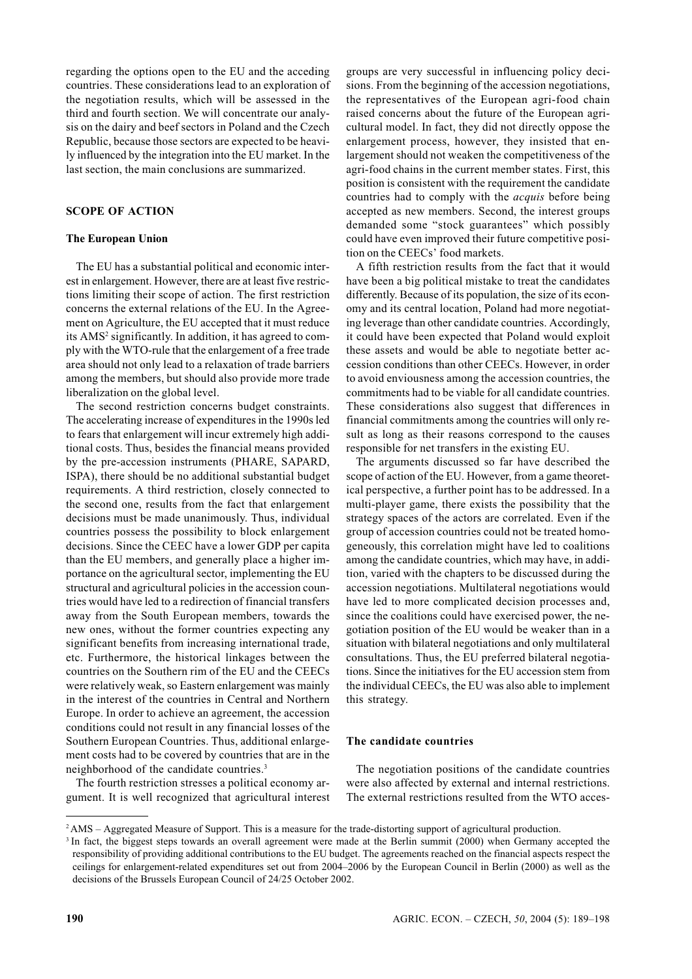regarding the options open to the EU and the acceding countries. These considerations lead to an exploration of the negotiation results, which will be assessed in the third and fourth section. We will concentrate our analysis on the dairy and beef sectors in Poland and the Czech Republic, because those sectors are expected to be heavily influenced by the integration into the EU market. In the last section, the main conclusions are summarized.

# **SCOPE OF ACTION**

#### **The European Union**

The EU has a substantial political and economic interest in enlargement. However, there are at least five restrictions limiting their scope of action. The first restriction concerns the external relations of the EU. In the Agreement on Agriculture, the EU accepted that it must reduce its AMS<sup>2</sup> significantly. In addition, it has agreed to comply with the WTO-rule that the enlargement of a free trade area should not only lead to a relaxation of trade barriers among the members, but should also provide more trade liberalization on the global level.

The second restriction concerns budget constraints. The accelerating increase of expenditures in the 1990s led to fears that enlargement will incur extremely high additional costs. Thus, besides the financial means provided by the pre-accession instruments (PHARE, SAPARD, ISPA), there should be no additional substantial budget requirements. A third restriction, closely connected to the second one, results from the fact that enlargement decisions must be made unanimously. Thus, individual countries possess the possibility to block enlargement decisions. Since the CEEC have a lower GDP per capita than the EU members, and generally place a higher importance on the agricultural sector, implementing the EU structural and agricultural policies in the accession countries would have led to a redirection of financial transfers away from the South European members, towards the new ones, without the former countries expecting any significant benefits from increasing international trade, etc. Furthermore, the historical linkages between the countries on the Southern rim of the EU and the CEECs were relatively weak, so Eastern enlargement was mainly in the interest of the countries in Central and Northern Europe. In order to achieve an agreement, the accession conditions could not result in any financial losses of the Southern European Countries. Thus, additional enlargement costs had to be covered by countries that are in the neighborhood of the candidate countries.<sup>3</sup>

The fourth restriction stresses a political economy argument. It is well recognized that agricultural interest groups are very successful in influencing policy decisions. From the beginning of the accession negotiations. the representatives of the European agri-food chain raised concerns about the future of the European agricultural model. In fact, they did not directly oppose the enlargement process, however, they insisted that enlargement should not weaken the competitiveness of the agri-food chains in the current member states. First, this position is consistent with the requirement the candidate countries had to comply with the *acquis* before being accepted as new members. Second, the interest groups demanded some "stock guarantees" which possibly could have even improved their future competitive position on the CEECs' food markets.

A fifth restriction results from the fact that it would have been a big political mistake to treat the candidates differently. Because of its population, the size of its economy and its central location, Poland had more negotiating leverage than other candidate countries. Accordingly, it could have been expected that Poland would exploit these assets and would be able to negotiate better accession conditions than other CEECs. However, in order to avoid enviousness among the accession countries, the commitments had to be viable for all candidate countries. These considerations also suggest that differences in financial commitments among the countries will only result as long as their reasons correspond to the causes responsible for net transfers in the existing EU.

The arguments discussed so far have described the scope of action of the EU. However, from a game theoretical perspective, a further point has to be addressed. In a multi-player game, there exists the possibility that the strategy spaces of the actors are correlated. Even if the group of accession countries could not be treated homogeneously, this correlation might have led to coalitions among the candidate countries, which may have, in addition, varied with the chapters to be discussed during the accession negotiations. Multilateral negotiations would have led to more complicated decision processes and, since the coalitions could have exercised power, the negotiation position of the EU would be weaker than in a situation with bilateral negotiations and only multilateral consultations. Thus, the EU preferred bilateral negotiations. Since the initiatives for the EU accession stem from the individual CEECs, the EU was also able to implement this strategy.

#### The candidate countries

The negotiation positions of the candidate countries were also affected by external and internal restrictions. The external restrictions resulted from the WTO acces-

<sup>&</sup>lt;sup>2</sup>AMS – Aggregated Measure of Support. This is a measure for the trade-distorting support of agricultural production.

<sup>&</sup>lt;sup>3</sup> In fact, the biggest steps towards an overall agreement were made at the Berlin summit (2000) when Germany accepted the responsibility of providing additional contributions to the EU budget. The agreements reached on the financial aspects respect the ceilings for enlargement-related expenditures set out from 2004–2006 by the European Council in Berlin (2000) as well as the decisions of the Brussels European Council of 24/25 October 2002.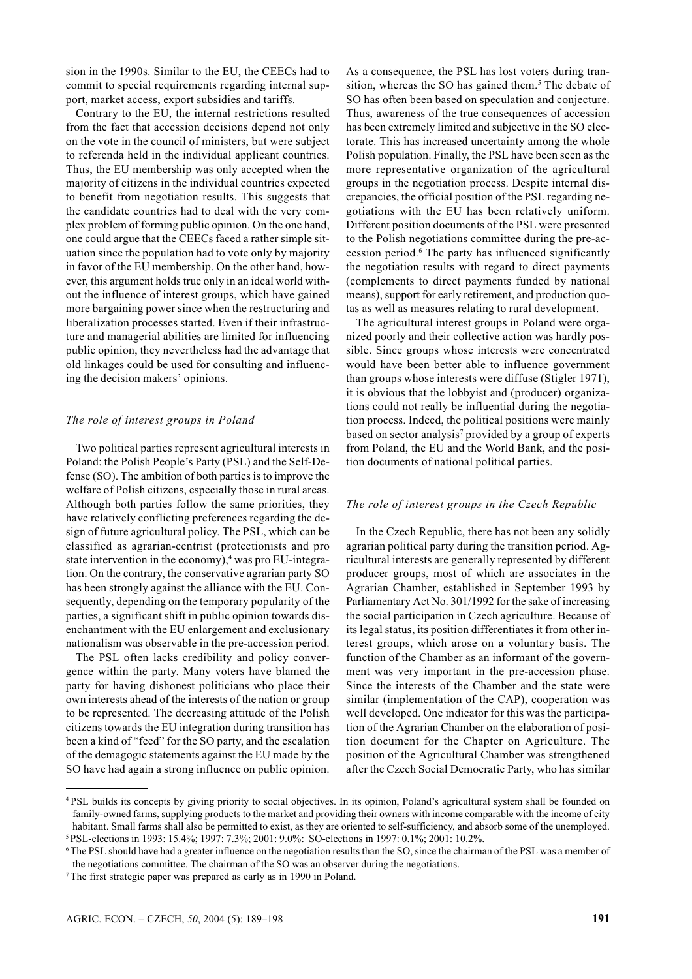sion in the 1990s. Similar to the EU, the CEECs had to commit to special requirements regarding internal support, market access, export subsidies and tariffs.

Contrary to the EU, the internal restrictions resulted from the fact that accession decisions depend not only on the vote in the council of ministers, but were subject to referenda held in the individual applicant countries. Thus, the EU membership was only accepted when the majority of citizens in the individual countries expected to benefit from negotiation results. This suggests that the candidate countries had to deal with the very complex problem of forming public opinion. On the one hand, one could argue that the CEECs faced a rather simple situation since the population had to vote only by majority in favor of the EU membership. On the other hand, however, this argument holds true only in an ideal world without the influence of interest groups, which have gained more bargaining power since when the restructuring and liberalization processes started. Even if their infrastructure and managerial abilities are limited for influencing public opinion, they nevertheless had the advantage that old linkages could be used for consulting and influencing the decision makers' opinions.

#### The role of interest groups in Poland

Two political parties represent agricultural interests in Poland: the Polish People's Party (PSL) and the Self-Defense (SO). The ambition of both parties is to improve the welfare of Polish citizens, especially those in rural areas. Although both parties follow the same priorities, they have relatively conflicting preferences regarding the design of future agricultural policy. The PSL, which can be classified as agrarian-centrist (protectionists and pro state intervention in the economy),<sup>4</sup> was pro EU-integration. On the contrary, the conservative agrarian party SO has been strongly against the alliance with the EU. Consequently, depending on the temporary popularity of the parties, a significant shift in public opinion towards disenchantment with the EU enlargement and exclusionary nationalism was observable in the pre-accession period.

The PSL often lacks credibility and policy convergence within the party. Many voters have blamed the party for having dishonest politicians who place their own interests ahead of the interests of the nation or group to be represented. The decreasing attitude of the Polish citizens towards the EU integration during transition has been a kind of "feed" for the SO party, and the escalation of the demagogic statements against the EU made by the SO have had again a strong influence on public opinion. As a consequence, the PSL has lost voters during transition, whereas the SO has gained them.<sup>5</sup> The debate of SO has often been based on speculation and conjecture. Thus, awareness of the true consequences of accession has been extremely limited and subjective in the SO electorate. This has increased uncertainty among the whole Polish population. Finally, the PSL have been seen as the more representative organization of the agricultural groups in the negotiation process. Despite internal discrepancies, the official position of the PSL regarding negotiations with the EU has been relatively uniform. Different position documents of the PSL were presented to the Polish negotiations committee during the pre-accession period.<sup>6</sup> The party has influenced significantly the negotiation results with regard to direct payments (complements to direct payments funded by national means), support for early retirement, and production quotas as well as measures relating to rural development.

The agricultural interest groups in Poland were organized poorly and their collective action was hardly possible. Since groups whose interests were concentrated would have been better able to influence government than groups whose interests were diffuse (Stigler 1971). it is obvious that the lobbyist and (producer) organizations could not really be influential during the negotiation process. Indeed, the political positions were mainly based on sector analysis<sup>7</sup> provided by a group of experts from Poland, the EU and the World Bank, and the position documents of national political parties.

#### The role of interest groups in the Czech Republic

In the Czech Republic, there has not been any solidly agrarian political party during the transition period. Agricultural interests are generally represented by different producer groups, most of which are associates in the Agrarian Chamber, established in September 1993 by Parliamentary Act No. 301/1992 for the sake of increasing the social participation in Czech agriculture. Because of its legal status, its position differentiates it from other interest groups, which arose on a voluntary basis. The function of the Chamber as an informant of the government was very important in the pre-accession phase. Since the interests of the Chamber and the state were similar (implementation of the CAP), cooperation was well developed. One indicator for this was the participation of the Agrarian Chamber on the elaboration of position document for the Chapter on Agriculture. The position of the Agricultural Chamber was strengthened after the Czech Social Democratic Party, who has similar

<sup>&</sup>lt;sup>4</sup>PSL builds its concepts by giving priority to social objectives. In its opinion, Poland's agricultural system shall be founded on family-owned farms, supplying products to the market and providing their owners with income comparable with the income of city habitant. Small farms shall also be permitted to exist, as they are oriented to self-sufficiency, and absorb some of the unemployed. <sup>5</sup> PSL-elections in 1993: 15.4%; 1997: 7.3%; 2001: 9.0%; SO-elections in 1997: 0.1%; 2001: 10.2%.

<sup>&</sup>lt;sup>6</sup>The PSL should have had a greater influence on the negotiation results than the SO, since the chairman of the PSL was a member of the negotiations committee. The chairman of the SO was an observer during the negotiations.

<sup>&</sup>lt;sup>7</sup>The first strategic paper was prepared as early as in 1990 in Poland.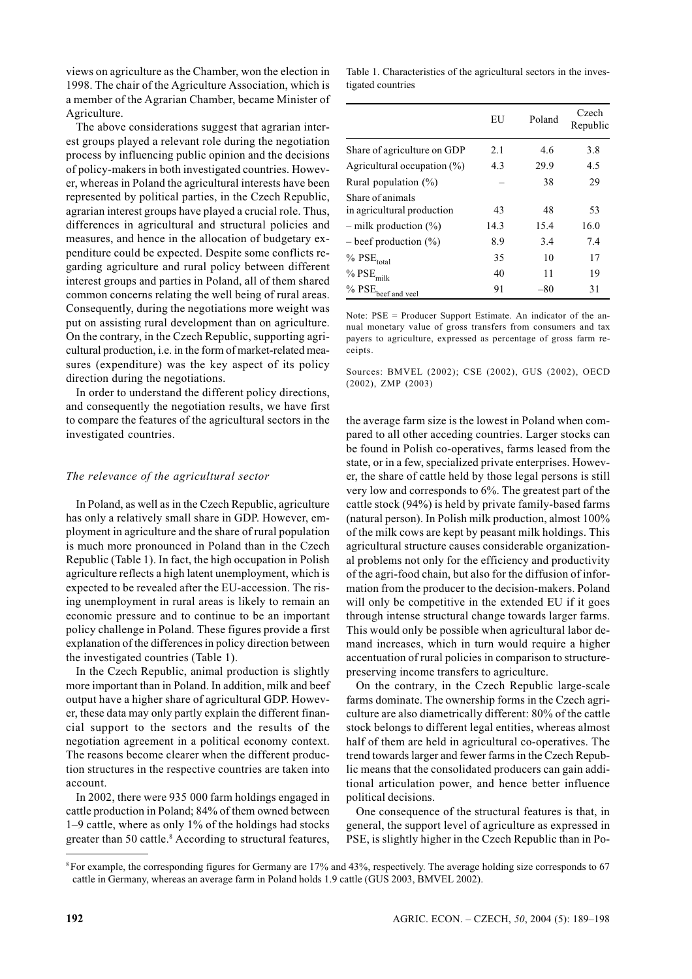views on agriculture as the Chamber, won the election in 1998. The chair of the Agriculture Association, which is a member of the Agrarian Chamber, became Minister of Agriculture.

The above considerations suggest that agrarian interest groups played a relevant role during the negotiation process by influencing public opinion and the decisions of policy-makers in both investigated countries. However, whereas in Poland the agricultural interests have been represented by political parties, in the Czech Republic, agrarian interest groups have played a crucial role. Thus, differences in agricultural and structural policies and measures, and hence in the allocation of budgetary expenditure could be expected. Despite some conflicts regarding agriculture and rural policy between different interest groups and parties in Poland, all of them shared common concerns relating the well being of rural areas. Consequently, during the negotiations more weight was put on assisting rural development than on agriculture. On the contrary, in the Czech Republic, supporting agricultural production, i.e. in the form of market-related measures (expenditure) was the key aspect of its policy direction during the negotiations.

In order to understand the different policy directions. and consequently the negotiation results, we have first to compare the features of the agricultural sectors in the investigated countries.

# The relevance of the agricultural sector

In Poland, as well as in the Czech Republic, agriculture has only a relatively small share in GDP. However, employment in agriculture and the share of rural population is much more pronounced in Poland than in the Czech Republic (Table 1). In fact, the high occupation in Polish agriculture reflects a high latent unemployment, which is expected to be revealed after the EU-accession. The rising unemployment in rural areas is likely to remain an economic pressure and to continue to be an important policy challenge in Poland. These figures provide a first explanation of the differences in policy direction between the investigated countries (Table 1).

In the Czech Republic, animal production is slightly more important than in Poland. In addition, milk and beef output have a higher share of agricultural GDP. However, these data may only partly explain the different financial support to the sectors and the results of the negotiation agreement in a political economy context. The reasons become clearer when the different production structures in the respective countries are taken into account.

In 2002, there were 935 000 farm holdings engaged in cattle production in Poland; 84% of them owned between 1–9 cattle, where as only 1% of the holdings had stocks greater than 50 cattle.<sup>8</sup> According to structural features,

Table 1. Characteristics of the agricultural sectors in the investigated countries

|                                      | EU   | Poland | Czech<br>Republic |
|--------------------------------------|------|--------|-------------------|
| Share of agriculture on GDP          | 2.1  | 4.6    | 3.8               |
| Agricultural occupation $(\%)$       | 4.3  | 29.9   | 4.5               |
| Rural population $(\%)$              |      | 38     | 29                |
| Share of animals                     |      |        |                   |
| in agricultural production           | 43   | 48     | 53                |
| $-$ milk production $(\%)$           | 14.3 | 15.4   | 16.0              |
| $-$ beef production $(\%)$           | 8.9  | 3.4    | 7.4               |
| $\%$ $\mathrm{PSE}_{\mathrm{total}}$ | 35   | 10     | 17                |
| $\%$ $\mathrm{PSE}_{\mathrm{milk}}$  | 40   | 11     | 19                |
| $%$ $PSE_{\text{beef and}}$ veel     | 91   | -80    | 31                |

Note: PSE = Producer Support Estimate. An indicator of the annual monetary value of gross transfers from consumers and tax payers to agriculture, expressed as percentage of gross farm receipts.

Sources: BMVEL (2002); CSE (2002), GUS (2002), OECD  $(2002)$ , ZMP  $(2003)$ 

the average farm size is the lowest in Poland when compared to all other acceding countries. Larger stocks can be found in Polish co-operatives, farms leased from the state, or in a few, specialized private enterprises. However, the share of cattle held by those legal persons is still very low and corresponds to 6%. The greatest part of the cattle stock (94%) is held by private family-based farms (natural person). In Polish milk production, almost 100% of the milk cows are kept by peasant milk holdings. This agricultural structure causes considerable organizational problems not only for the efficiency and productivity of the agri-food chain, but also for the diffusion of information from the producer to the decision-makers. Poland will only be competitive in the extended EU if it goes through intense structural change towards larger farms. This would only be possible when agricultural labor demand increases, which in turn would require a higher accentuation of rural policies in comparison to structurepreserving income transfers to agriculture.

On the contrary, in the Czech Republic large-scale farms dominate. The ownership forms in the Czech agriculture are also diametrically different: 80% of the cattle stock belongs to different legal entities, whereas almost half of them are held in agricultural co-operatives. The trend towards larger and fewer farms in the Czech Republic means that the consolidated producers can gain additional articulation power, and hence better influence political decisions.

One consequence of the structural features is that, in general, the support level of agriculture as expressed in PSE, is slightly higher in the Czech Republic than in Po-

<sup>&</sup>lt;sup>8</sup> For example, the corresponding figures for Germany are 17% and 43%, respectively. The average holding size corresponds to 67 cattle in Germany, whereas an average farm in Poland holds 1.9 cattle (GUS 2003, BMVEL 2002).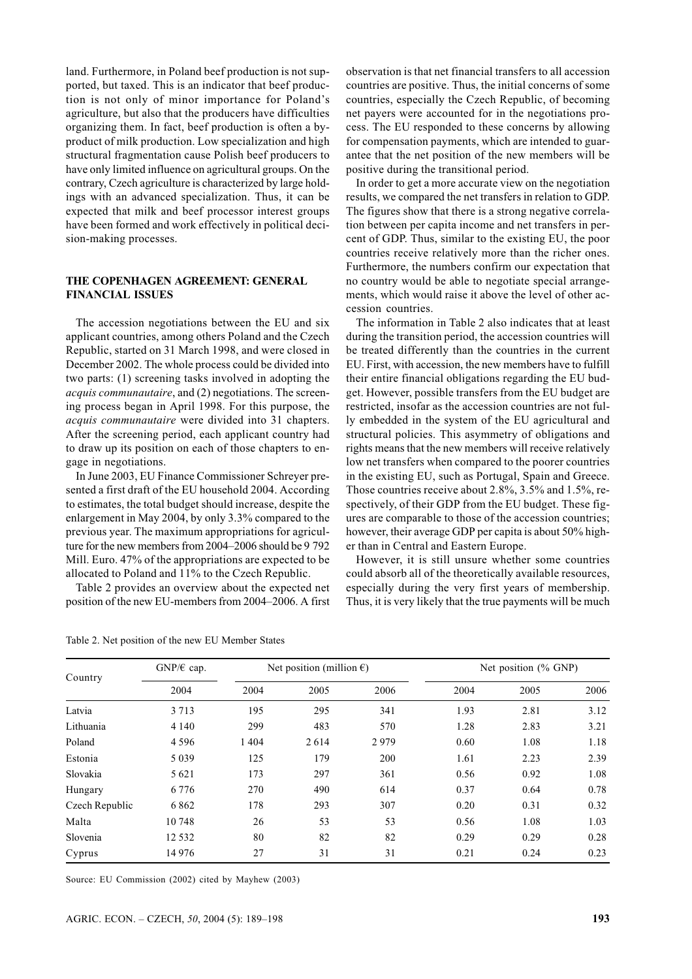land. Furthermore, in Poland beef production is not supported, but taxed. This is an indicator that beef production is not only of minor importance for Poland's agriculture, but also that the producers have difficulties organizing them. In fact, beef production is often a byproduct of milk production. Low specialization and high structural fragmentation cause Polish beef producers to have only limited influence on agricultural groups. On the contrary, Czech agriculture is characterized by large holdings with an advanced specialization. Thus, it can be expected that milk and beef processor interest groups have been formed and work effectively in political decision-making processes.

## THE COPENHAGEN AGREEMENT: GENERAL **FINANCIAL ISSUES**

The accession negotiations between the EU and six applicant countries, among others Poland and the Czech Republic, started on 31 March 1998, and were closed in December 2002. The whole process could be divided into two parts: (1) screening tasks involved in adopting the *acquis communautaire*, and (2) negotiations. The screening process began in April 1998. For this purpose, the acquis communautaire were divided into 31 chapters. After the screening period, each applicant country had to draw up its position on each of those chapters to engage in negotiations.

In June 2003, EU Finance Commissioner Schreyer presented a first draft of the EU household 2004. According to estimates, the total budget should increase, despite the enlargement in May 2004, by only 3.3% compared to the previous year. The maximum appropriations for agriculture for the new members from 2004-2006 should be 9 792 Mill. Euro. 47% of the appropriations are expected to be allocated to Poland and 11% to the Czech Republic.

Table 2 provides an overview about the expected net position of the new EU-members from 2004–2006. A first observation is that net financial transfers to all accession countries are positive. Thus, the initial concerns of some countries, especially the Czech Republic, of becoming net payers were accounted for in the negotiations process. The EU responded to these concerns by allowing for compensation payments, which are intended to guarantee that the net position of the new members will be positive during the transitional period.

In order to get a more accurate view on the negotiation results, we compared the net transfers in relation to GDP. The figures show that there is a strong negative correlation between per capita income and net transfers in percent of GDP. Thus, similar to the existing EU, the poor countries receive relatively more than the richer ones. Furthermore, the numbers confirm our expectation that no country would be able to negotiate special arrangements, which would raise it above the level of other accession countries.

The information in Table 2 also indicates that at least during the transition period, the accession countries will be treated differently than the countries in the current EU. First, with accession, the new members have to fulfill their entire financial obligations regarding the EU budget. However, possible transfers from the EU budget are restricted, insofar as the accession countries are not fully embedded in the system of the EU agricultural and structural policies. This asymmetry of obligations and rights means that the new members will receive relatively low net transfers when compared to the poorer countries in the existing EU, such as Portugal, Spain and Greece. Those countries receive about 2.8%, 3.5% and 1.5%, respectively, of their GDP from the EU budget. These figures are comparable to those of the accession countries; however, their average GDP per capita is about 50% higher than in Central and Eastern Europe.

However, it is still unsure whether some countries could absorb all of the theoretically available resources, especially during the very first years of membership. Thus, it is very likely that the true payments will be much

| Country        | GNP/ $\epsilon$ cap. | Net position (million $\epsilon$ ) |      |      | Net position $(\%$ GNP) |      |      |  |
|----------------|----------------------|------------------------------------|------|------|-------------------------|------|------|--|
|                | 2004                 | 2004                               | 2005 | 2006 | 2004                    | 2005 | 2006 |  |
| Latvia         | 3 7 1 3              | 195                                | 295  | 341  | 1.93                    | 2.81 | 3.12 |  |
| Lithuania      | 4 1 4 0              | 299                                | 483  | 570  | 1.28                    | 2.83 | 3.21 |  |
| Poland         | 4596                 | 1 4 0 4                            | 2614 | 2979 | 0.60                    | 1.08 | 1.18 |  |
| Estonia        | 5 0 3 9              | 125                                | 179  | 200  | 1.61                    | 2.23 | 2.39 |  |
| Slovakia       | 5621                 | 173                                | 297  | 361  | 0.56                    | 0.92 | 1.08 |  |
| Hungary        | 6 7 7 6              | 270                                | 490  | 614  | 0.37                    | 0.64 | 0.78 |  |
| Czech Republic | 6862                 | 178                                | 293  | 307  | 0.20                    | 0.31 | 0.32 |  |
| Malta          | 10748                | 26                                 | 53   | 53   | 0.56                    | 1.08 | 1.03 |  |
| Slovenia       | 12 5 3 2             | 80                                 | 82   | 82   | 0.29                    | 0.29 | 0.28 |  |
| Cyprus         | 14976                | 27                                 | 31   | 31   | 0.21                    | 0.24 | 0.23 |  |

Table 2. Net position of the new EU Member States

Source: EU Commission (2002) cited by Mayhew (2003)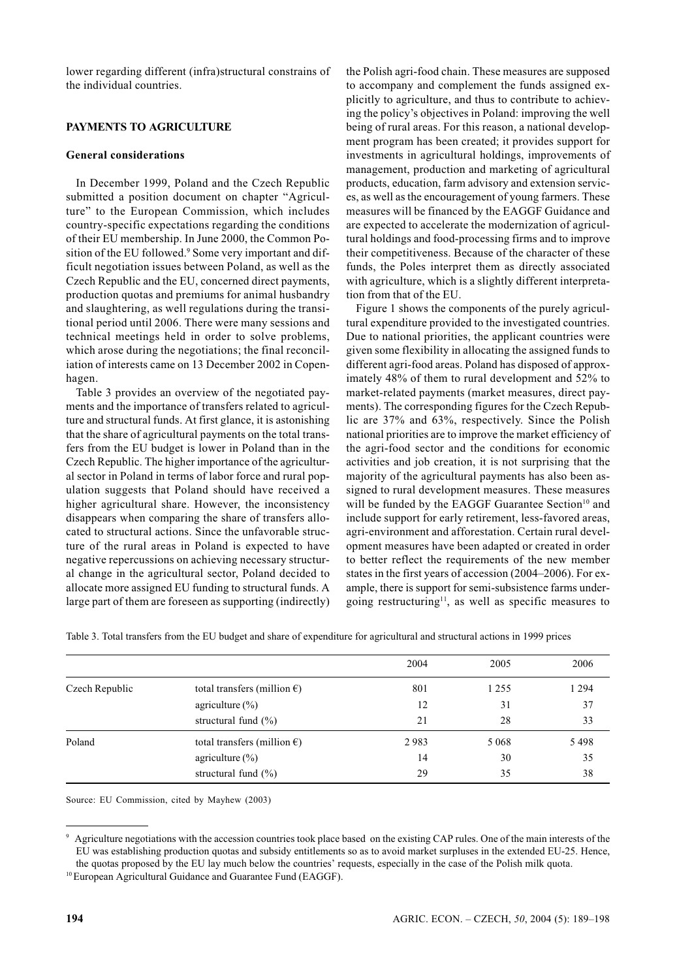lower regarding different (infra)structural constrains of the individual countries.

# **PAYMENTS TO AGRICULTURE**

### **General considerations**

In December 1999, Poland and the Czech Republic submitted a position document on chapter "Agriculture" to the European Commission, which includes country-specific expectations regarding the conditions of their EU membership. In June 2000, the Common Position of the EU followed.<sup>9</sup> Some very important and difficult negotiation issues between Poland, as well as the Czech Republic and the EU, concerned direct payments. production quotas and premiums for animal husbandry and slaughtering, as well regulations during the transitional period until 2006. There were many sessions and technical meetings held in order to solve problems, which arose during the negotiations; the final reconciliation of interests came on 13 December 2002 in Copenhagen.

Table 3 provides an overview of the negotiated payments and the importance of transfers related to agriculture and structural funds. At first glance, it is astonishing that the share of agricultural payments on the total transfers from the EU budget is lower in Poland than in the Czech Republic. The higher importance of the agricultural sector in Poland in terms of labor force and rural population suggests that Poland should have received a higher agricultural share. However, the inconsistency disappears when comparing the share of transfers allocated to structural actions. Since the unfavorable structure of the rural areas in Poland is expected to have negative repercussions on achieving necessary structural change in the agricultural sector, Poland decided to allocate more assigned EU funding to structural funds. A large part of them are foreseen as supporting (indirectly) the Polish agri-food chain. These measures are supposed to accompany and complement the funds assigned explicitly to agriculture, and thus to contribute to achieving the policy's objectives in Poland: improving the well being of rural areas. For this reason, a national development program has been created; it provides support for investments in agricultural holdings, improvements of management, production and marketing of agricultural products, education, farm advisory and extension services, as well as the encouragement of young farmers. These measures will be financed by the EAGGF Guidance and are expected to accelerate the modernization of agricultural holdings and food-processing firms and to improve their competitiveness. Because of the character of these funds, the Poles interpret them as directly associated with agriculture, which is a slightly different interpretation from that of the EU.

Figure 1 shows the components of the purely agricultural expenditure provided to the investigated countries. Due to national priorities, the applicant countries were given some flexibility in allocating the assigned funds to different agri-food areas. Poland has disposed of approximately 48% of them to rural development and 52% to market-related payments (market measures, direct payments). The corresponding figures for the Czech Republic are 37% and 63%, respectively. Since the Polish national priorities are to improve the market efficiency of the agri-food sector and the conditions for economic activities and job creation, it is not surprising that the majority of the agricultural payments has also been assigned to rural development measures. These measures will be funded by the EAGGF Guarantee Section<sup>10</sup> and include support for early retirement, less-favored areas, agri-environment and afforestation. Certain rural development measures have been adapted or created in order to better reflect the requirements of the new member states in the first years of accession (2004–2006). For example, there is support for semi-subsistence farms undergoing restructuring<sup>11</sup>, as well as specific measures to

|                |                                       | 2004 | 2005    | 2006    |
|----------------|---------------------------------------|------|---------|---------|
| Czech Republic | total transfers (million $\epsilon$ ) | 801  | 1 2 5 5 | 1 2 9 4 |
|                | agriculture $(\%)$                    | 12   | 31      | 37      |
|                | structural fund $(\% )$               | 21   | 28      | 33      |
| Poland         | total transfers (million $\epsilon$ ) | 2983 | 5 0 6 8 | 5498    |
|                | agriculture $(\%)$                    | 14   | 30      | 35      |
|                | structural fund $(\% )$               | 29   | 35      | 38      |
|                |                                       |      |         |         |

Table 3. Total transfers from the EU budget and share of expenditure for agricultural and structural actions in 1999 prices

Source: EU Commission, cited by Mayhew (2003)

<sup>&</sup>lt;sup>9</sup> Agriculture negotiations with the accession countries took place based on the existing CAP rules. One of the main interests of the EU was establishing production quotas and subsidy entitlements so as to avoid market surpluses in the extended EU-25. Hence, the quotas proposed by the EU lay much below the countries' requests, especially in the case of the Polish milk quota.

<sup>&</sup>lt;sup>10</sup> European Agricultural Guidance and Guarantee Fund (EAGGF).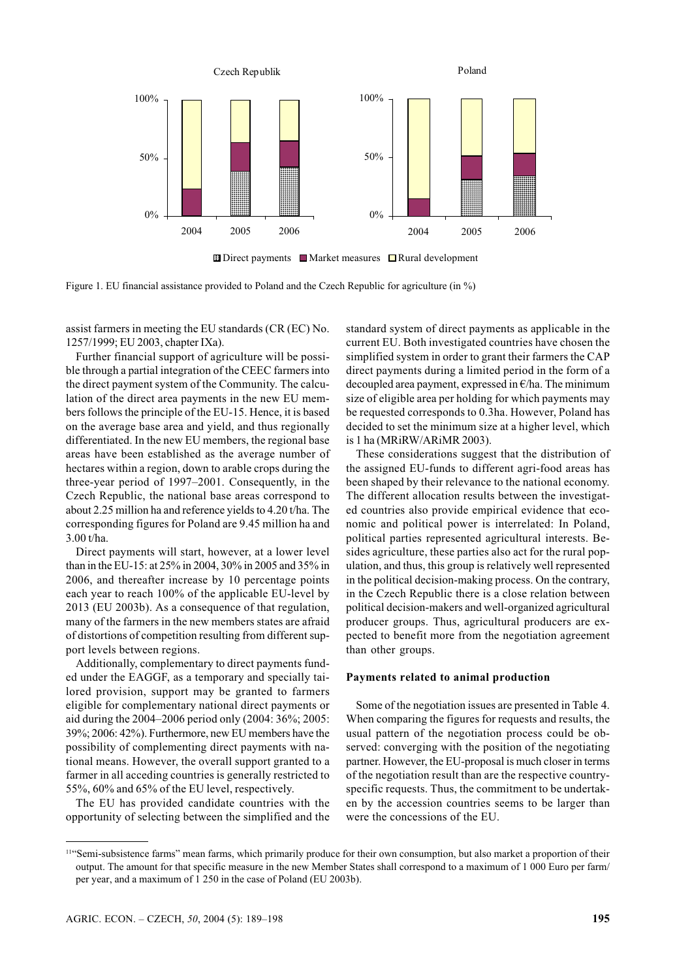

**ED** Direct payments ■ Market measures ■ Rural development

Figure 1. EU financial assistance provided to Poland and the Czech Republic for agriculture (in %)

assist farmers in meeting the EU standards (CR (EC) No. 1257/1999: EU 2003, chapter IXa).

Further financial support of agriculture will be possible through a partial integration of the CEEC farmers into the direct payment system of the Community. The calculation of the direct area payments in the new EU members follows the principle of the EU-15. Hence, it is based on the average base area and yield, and thus regionally differentiated. In the new EU members, the regional base areas have been established as the average number of hectares within a region, down to arable crops during the three-year period of 1997–2001. Consequently, in the Czech Republic, the national base areas correspond to about 2.25 million ha and reference yields to 4.20 t/ha. The corresponding figures for Poland are 9.45 million ha and  $3.00$  t/ha.

Direct payments will start, however, at a lower level than in the EU-15: at 25% in 2004, 30% in 2005 and 35% in 2006, and thereafter increase by 10 percentage points each year to reach 100% of the applicable EU-level by 2013 (EU 2003b). As a consequence of that regulation. many of the farmers in the new members states are afraid of distortions of competition resulting from different support levels between regions.

Additionally, complementary to direct payments funded under the EAGGF, as a temporary and specially tailored provision, support may be granted to farmers eligible for complementary national direct payments or aid during the 2004–2006 period only (2004: 36%; 2005: 39%; 2006: 42%). Furthermore, new EU members have the possibility of complementing direct payments with national means. However, the overall support granted to a farmer in all acceding countries is generally restricted to 55%, 60% and 65% of the EU level, respectively.

The EU has provided candidate countries with the opportunity of selecting between the simplified and the standard system of direct payments as applicable in the current EU. Both investigated countries have chosen the simplified system in order to grant their farmers the CAP direct payments during a limited period in the form of a decoupled area payment, expressed in  $\epsilon$ /ha. The minimum size of eligible area per holding for which payments may be requested corresponds to 0.3ha. However, Poland has decided to set the minimum size at a higher level, which is 1 ha (MRiRW/ARiMR 2003).

These considerations suggest that the distribution of the assigned EU-funds to different agri-food areas has been shaped by their relevance to the national economy. The different allocation results between the investigated countries also provide empirical evidence that economic and political power is interrelated: In Poland, political parties represented agricultural interests. Besides agriculture, these parties also act for the rural population, and thus, this group is relatively well represented in the political decision-making process. On the contrary, in the Czech Republic there is a close relation between political decision-makers and well-organized agricultural producer groups. Thus, agricultural producers are expected to benefit more from the negotiation agreement than other groups.

#### Payments related to animal production

Some of the negotiation issues are presented in Table 4. When comparing the figures for requests and results, the usual pattern of the negotiation process could be observed: converging with the position of the negotiating partner. However, the EU-proposal is much closer in terms of the negotiation result than are the respective countryspecific requests. Thus, the commitment to be undertaken by the accession countries seems to be larger than were the concessions of the EU.

<sup>&</sup>lt;sup>11</sup>"Semi-subsistence farms" mean farms, which primarily produce for their own consumption, but also market a proportion of their output. The amount for that specific measure in the new Member States shall correspond to a maximum of 1 000 Euro per farm/ per year, and a maximum of 1 250 in the case of Poland (EU 2003b).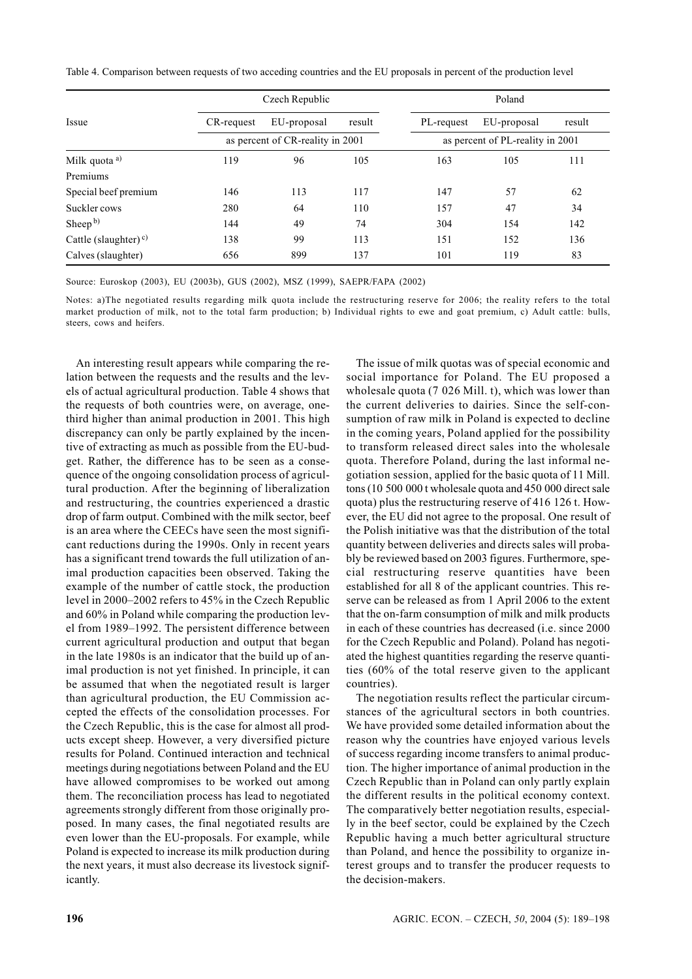|                                  | Czech Republic                                                       |             |        | Poland |            |             |        |
|----------------------------------|----------------------------------------------------------------------|-------------|--------|--------|------------|-------------|--------|
| Issue                            | CR-request                                                           | EU-proposal | result |        | PL-request | EU-proposal | result |
|                                  | as percent of CR-reality in 2001<br>as percent of PL-reality in 2001 |             |        |        |            |             |        |
| Milk quota $a$ )                 | 119                                                                  | 96          | 105    |        | 163        | 105         | 111    |
| Premiums                         |                                                                      |             |        |        |            |             |        |
| Special beef premium             | 146                                                                  | 113         | 117    |        | 147        | 57          | 62     |
| Suckler cows                     | 280                                                                  | 64          | 110    |        | 157        | 47          | 34     |
| Sheep $b$ )                      | 144                                                                  | 49          | 74     |        | 304        | 154         | 142    |
| Cattle (slaughter) <sup>c)</sup> | 138                                                                  | 99          | 113    |        | 151        | 152         | 136    |
| Calves (slaughter)               | 656                                                                  | 899         | 137    |        | 101        | 119         | 83     |

Table 4. Comparison between requests of two acceding countries and the EU proposals in percent of the production level

Source: Euroskop (2003), EU (2003b), GUS (2002), MSZ (1999), SAEPR/FAPA (2002)

Notes: a)The negotiated results regarding milk quota include the restructuring reserve for 2006; the reality refers to the total market production of milk, not to the total farm production; b) Individual rights to ewe and goat premium, c) Adult cattle: bulls, steers, cows and heifers.

An interesting result appears while comparing the relation between the requests and the results and the levels of actual agricultural production. Table 4 shows that the requests of both countries were, on average, onethird higher than animal production in 2001. This high discrepancy can only be partly explained by the incentive of extracting as much as possible from the EU-budget. Rather, the difference has to be seen as a consequence of the ongoing consolidation process of agricultural production. After the beginning of liberalization and restructuring, the countries experienced a drastic drop of farm output. Combined with the milk sector, beef is an area where the CEECs have seen the most significant reductions during the 1990s. Only in recent years has a significant trend towards the full utilization of animal production capacities been observed. Taking the example of the number of cattle stock, the production level in 2000–2002 refers to 45% in the Czech Republic and 60% in Poland while comparing the production level from 1989-1992. The persistent difference between current agricultural production and output that began in the late 1980s is an indicator that the build up of animal production is not yet finished. In principle, it can be assumed that when the negotiated result is larger than agricultural production, the EU Commission accepted the effects of the consolidation processes. For the Czech Republic, this is the case for almost all products except sheep. However, a very diversified picture results for Poland. Continued interaction and technical meetings during negotiations between Poland and the EU have allowed compromises to be worked out among them. The reconciliation process has lead to negotiated agreements strongly different from those originally proposed. In many cases, the final negotiated results are even lower than the EU-proposals. For example, while Poland is expected to increase its milk production during the next years, it must also decrease its livestock significantly.

The issue of milk quotas was of special economic and social importance for Poland. The EU proposed a wholesale quota (7 026 Mill. t), which was lower than the current deliveries to dairies. Since the self-consumption of raw milk in Poland is expected to decline in the coming years, Poland applied for the possibility to transform released direct sales into the wholesale quota. Therefore Poland, during the last informal negotiation session, applied for the basic quota of 11 Mill. tons (10 500 000 t wholesale quota and 450 000 direct sale quota) plus the restructuring reserve of 416 126 t. However, the EU did not agree to the proposal. One result of the Polish initiative was that the distribution of the total quantity between deliveries and directs sales will probably be reviewed based on 2003 figures. Furthermore, special restructuring reserve quantities have been established for all 8 of the applicant countries. This reserve can be released as from 1 April 2006 to the extent that the on-farm consumption of milk and milk products in each of these countries has decreased (i.e. since 2000 for the Czech Republic and Poland). Poland has negotiated the highest quantities regarding the reserve quantities  $(60\% \text{ of the total reserve given to the application})$ countries).

The negotiation results reflect the particular circumstances of the agricultural sectors in both countries. We have provided some detailed information about the reason why the countries have enjoyed various levels of success regarding income transfers to animal production. The higher importance of animal production in the Czech Republic than in Poland can only partly explain the different results in the political economy context. The comparatively better negotiation results, especially in the beef sector, could be explained by the Czech Republic having a much better agricultural structure than Poland, and hence the possibility to organize interest groups and to transfer the producer requests to the decision-makers.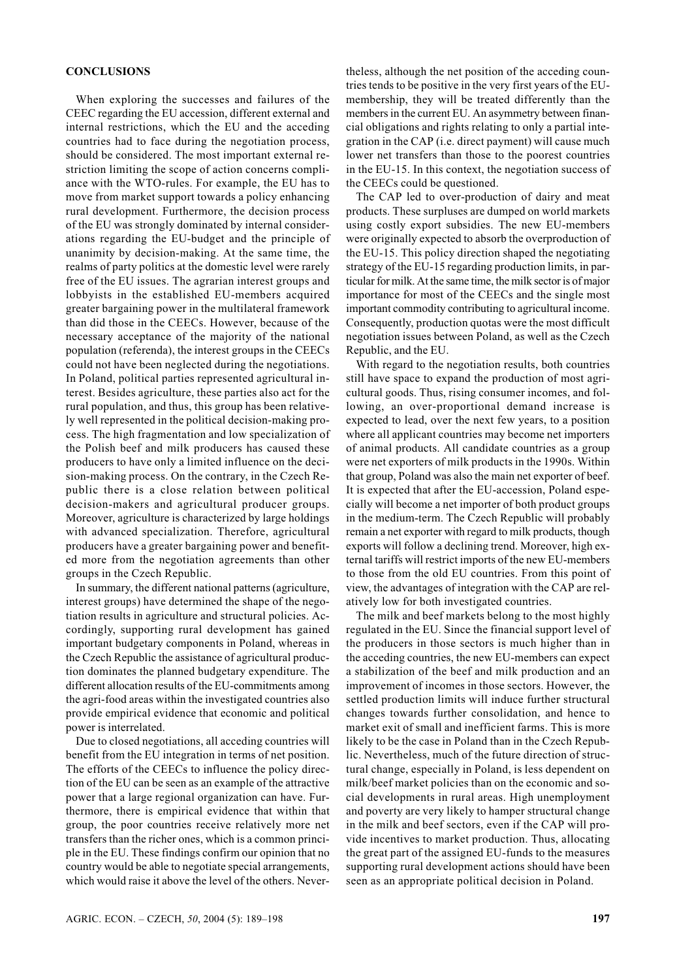#### **CONCLUSIONS**

When exploring the successes and failures of the CEEC regarding the EU accession, different external and internal restrictions, which the EU and the acceding countries had to face during the negotiation process, should be considered. The most important external restriction limiting the scope of action concerns compliance with the WTO-rules. For example, the EU has to move from market support towards a policy enhancing rural development. Furthermore, the decision process of the EU was strongly dominated by internal considerations regarding the EU-budget and the principle of unanimity by decision-making. At the same time, the realms of party politics at the domestic level were rarely free of the EU issues. The agrarian interest groups and lobbyists in the established EU-members acquired greater bargaining power in the multilateral framework than did those in the CEECs. However, because of the necessary acceptance of the majority of the national population (referenda), the interest groups in the CEECs could not have been neglected during the negotiations. In Poland, political parties represented agricultural interest. Besides agriculture, these parties also act for the rural population, and thus, this group has been relatively well represented in the political decision-making process. The high fragmentation and low specialization of the Polish beef and milk producers has caused these producers to have only a limited influence on the decision-making process. On the contrary, in the Czech Republic there is a close relation between political decision-makers and agricultural producer groups. Moreover, agriculture is characterized by large holdings with advanced specialization. Therefore, agricultural producers have a greater bargaining power and benefited more from the negotiation agreements than other groups in the Czech Republic.

In summary, the different national patterns (agriculture, interest groups) have determined the shape of the negotiation results in agriculture and structural policies. Accordingly, supporting rural development has gained important budgetary components in Poland, whereas in the Czech Republic the assistance of agricultural production dominates the planned budgetary expenditure. The different allocation results of the EU-commitments among the agri-food areas within the investigated countries also provide empirical evidence that economic and political power is interrelated.

Due to closed negotiations, all acceding countries will benefit from the EU integration in terms of net position. The efforts of the CEECs to influence the policy direction of the EU can be seen as an example of the attractive power that a large regional organization can have. Furthermore, there is empirical evidence that within that group, the poor countries receive relatively more net transfers than the richer ones, which is a common principle in the EU. These findings confirm our opinion that no country would be able to negotiate special arrangements, which would raise it above the level of the others. Nevertheless, although the net position of the acceding countries tends to be positive in the very first years of the EUmembership, they will be treated differently than the members in the current EU. An asymmetry between financial obligations and rights relating to only a partial integration in the CAP (i.e. direct payment) will cause much lower net transfers than those to the poorest countries in the EU-15. In this context, the negotiation success of the CEECs could be questioned.

The CAP led to over-production of dairy and meat products. These surpluses are dumped on world markets using costly export subsidies. The new EU-members were originally expected to absorb the overproduction of the EU-15. This policy direction shaped the negotiating strategy of the EU-15 regarding production limits, in particular for milk. At the same time, the milk sector is of major importance for most of the CEECs and the single most important commodity contributing to agricultural income. Consequently, production quotas were the most difficult negotiation issues between Poland, as well as the Czech Republic, and the EU.

With regard to the negotiation results, both countries still have space to expand the production of most agricultural goods. Thus, rising consumer incomes, and following, an over-proportional demand increase is expected to lead, over the next few years, to a position where all applicant countries may become net importers of animal products. All candidate countries as a group were net exporters of milk products in the 1990s. Within that group, Poland was also the main net exporter of beef. It is expected that after the EU-accession, Poland especially will become a net importer of both product groups in the medium-term. The Czech Republic will probably remain a net exporter with regard to milk products, though exports will follow a declining trend. Moreover, high external tariffs will restrict imports of the new EU-members to those from the old EU countries. From this point of view, the advantages of integration with the CAP are relatively low for both investigated countries.

The milk and beef markets belong to the most highly regulated in the EU. Since the financial support level of the producers in those sectors is much higher than in the acceding countries, the new EU-members can expect a stabilization of the beef and milk production and an improvement of incomes in those sectors. However, the settled production limits will induce further structural changes towards further consolidation, and hence to market exit of small and inefficient farms. This is more likely to be the case in Poland than in the Czech Republic. Nevertheless, much of the future direction of structural change, especially in Poland, is less dependent on milk/beef market policies than on the economic and social developments in rural areas. High unemployment and poverty are very likely to hamper structural change in the milk and beef sectors, even if the CAP will provide incentives to market production. Thus, allocating the great part of the assigned EU-funds to the measures supporting rural development actions should have been seen as an appropriate political decision in Poland.